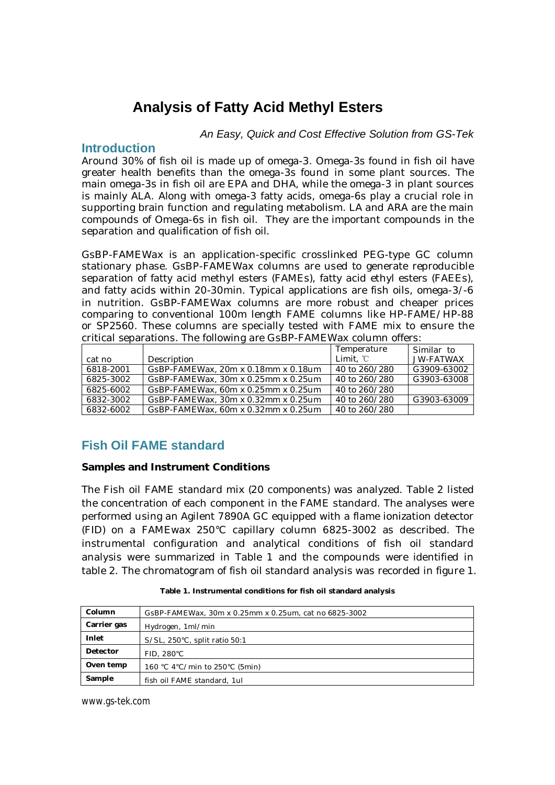# **Analysis of Fatty Acid Methyl Esters**

#### *An Easy, Quick and Cost Effective Solution from GS-Tek*

### **Introduction**

Around 30% of fish oil is made up of omega-3. Omega-3s found in fish oil have greater health benefits than the omega-3s found in some plant sources. The main omega-3s in fish oil are EPA and DHA, while the omega-3 in plant sources is mainly ALA. Along with omega-3 fatty acids, omega-6s play a crucial role in supporting brain function and regulating metabolism. LA and ARA are the main compounds of Omega-6s in fish oil. They are the important compounds in the separation and qualification of fish oil.

GsBP-FAMEWax is an application-specific crosslinked PEG-type GC column stationary phase. GsBP-FAMEWax columns are used to generate reproducible separation of fatty acid methyl esters (FAMEs), fatty acid ethyl esters (FAEEs), and fatty acids within 20-30min. Typical applications are fish oils, omega-3/-6 in nutrition. GsBP-FAMEWax columns are more robust and cheaper prices comparing to conventional 100m length FAME columns like HP-FAME/HP-88 or SP2560. These columns are specially tested with FAME mix to ensure the critical separations. The following are GsBP-FAMEWax column offers:

|           |                                     | Temperature   | Similar to  |
|-----------|-------------------------------------|---------------|-------------|
| cat no    | Description                         | Limit, °C     | JW-FATWAX   |
| 6818-2001 | GsBP-FAMEWax, 20m x 0.18mm x 0.18um | 40 to 260/280 | G3909-63002 |
| 6825-3002 | GsBP-FAMEWax, 30m x 0.25mm x 0.25um | 40 to 260/280 | G3903-63008 |
| 6825-6002 | GsBP-FAMEWax, 60m x 0.25mm x 0.25um | 40 to 260/280 |             |
| 6832-3002 | GsBP-FAMEWax, 30m x 0.32mm x 0.25um | 40 to 260/280 | G3903-63009 |
| 6832-6002 | GsBP-FAMEWax, 60m x 0.32mm x 0.25um | 40 to 260/280 |             |

# **Fish Oil FAME standard**

**Samples and Instrument Conditions** 

The Fish oil FAME standard mix (20 components) was analyzed. Table 2 listed the concentration of each component in the FAME standard. The analyses were performed using an Agilent 7890A GC equipped with a flame ionization detector (FID) on a FAMEwax 250°C capillary column 6825-3002 as described. The instrumental configuration and analytical conditions of fish oil standard analysis were summarized in Table 1 and the compounds were identified in table 2. The chromatogram of fish oil standard analysis was recorded in figure 1.

| Column      | GSBP-FAMEWax, 30m x 0.25mm x 0.25um, cat no 6825-3002 |
|-------------|-------------------------------------------------------|
| Carrier gas | Hydrogen, 1ml/min                                     |
| Inlet       | S/SL, 250°C, split ratio 50:1                         |
| Detector    | FID. 280°C                                            |
| Oven temp   | 160 °C 4°C/min to 250°C (5min)                        |
| Sample      | fish oil FAME standard, 1ul                           |

**Table 1. Instrumental conditions for fish oil standard analysis** 

www.gs-tek.com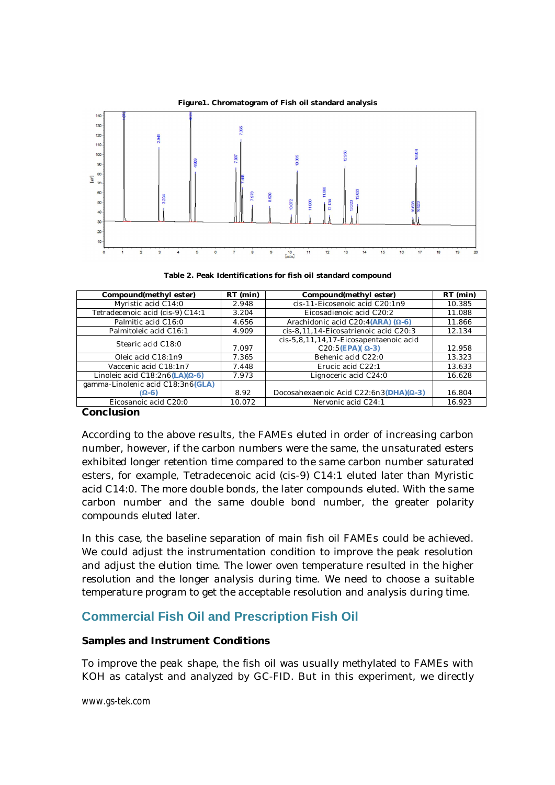

**Table 2. Peak Identifications for fish oil standard compound**

| Compound(methylester)                   | $RT$ (min) | Compound(methyl ester)                     | RT (min) |
|-----------------------------------------|------------|--------------------------------------------|----------|
| Myristic acid C14:0                     | 2.948      | cis-11-Eicosenoic acid C20:1n9             | 10.385   |
| Tetradecenoic acid (cis-9) C14:1        | 3.204      | Eicosadienoic acid C20:2                   | 11.088   |
| Palmitic acid C16:0                     | 4.656      | Arachidonic acid C20:4(ARA) $(\Omega - 6)$ | 11.866   |
| Palmitoleic acid C16:1                  | 4.909      | cis-8,11,14-Eicosatrienoic acid C20:3      | 12.134   |
| Stearic acid C18:0                      |            | cis-5,8,11,14,17-Eicosapentaenoic acid     |          |
|                                         | 7.097      | $C20:5(EPA)(\Omega-3)$                     | 12.958   |
| Oleic acid C18:1n9                      | 7.365      | Behenic acid C22:0                         | 13.323   |
| Vaccenic acid C18:1n7                   | 7.448      | Erucic acid C22:1                          | 13.633   |
| Linoleic acid C18:2n6(LA)( $\Omega$ -6) | 7.973      | Lignoceric acid C24:0                      | 16.628   |
| gamma-Linolenic acid C18:3n6(GLA)       |            |                                            |          |
| $(\Omega - 6)$                          | 8.92       | Docosahexaenoic Acid C22:6n3(DHA)(Q-3)     | 16.804   |
| Eicosanoic acid C20:0                   | 10.072     | Nervonic acid C24:1                        | 16.923   |

**Conclusion** 

According to the above results, the FAMEs eluted in order of increasing carbon number, however, if the carbon numbers were the same, the unsaturated esters exhibited longer retention time compared to the same carbon number saturated esters, for example, Tetradecenoic acid (cis-9) C14:1 eluted later than Myristic acid C14:0. The more double bonds, the later compounds eluted. With the same carbon number and the same double bond number, the greater polarity compounds eluted later.

In this case, the baseline separation of main fish oil FAMEs could be achieved. We could adjust the instrumentation condition to improve the peak resolution and adjust the elution time. The lower oven temperature resulted in the higher resolution and the longer analysis during time. We need to choose a suitable temperature program to get the acceptable resolution and analysis during time.

# **Commercial Fish Oil and Prescription Fish Oil**

### **Samples and Instrument Conditions**

To improve the peak shape, the fish oil was usually methylated to FAMEs with KOH as catalyst and analyzed by GC-FID. But in this experiment, we directly

www.gs-tek.com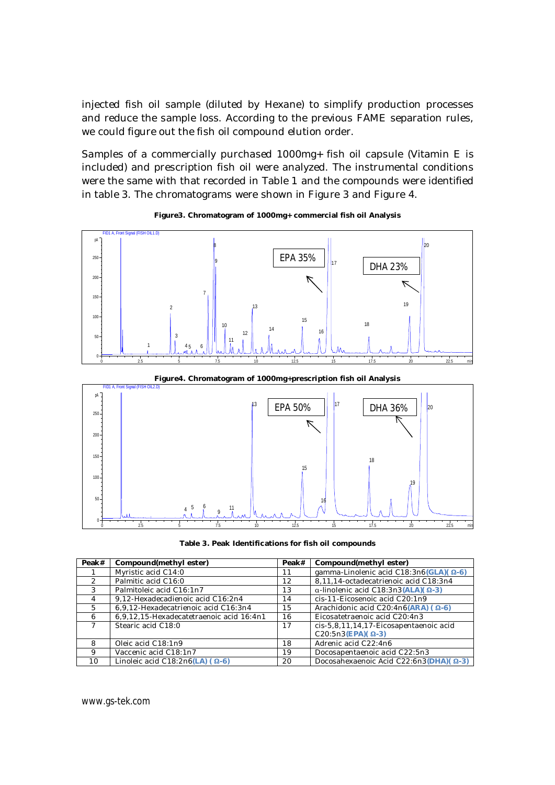injected fish oil sample (diluted by Hexane) to simplify production processes and reduce the sample loss. According to the previous FAME separation rules, we could figure out the fish oil compound elution order.

Samples of a commercially purchased 1000mg+ fish oil capsule (Vitamin E is included) and prescription fish oil were analyzed. The instrumental conditions were the same with that recorded in Table 1 and the compounds were identified in table 3. The chromatograms were shown in Figure 3 and Figure 4.



**Figure3. Chromatogram of 1000mg+ commercial fish oil Analysis** 



**Figure4. Chromatogram of 1000mg+prescription fish oil Analysis**

**Table 3. Peak Identifications for fish oil compounds** 

| Peak# | Compound(methylester)                    | Peak# | Compound(methylester)                               |
|-------|------------------------------------------|-------|-----------------------------------------------------|
|       | Myristic acid C14:0                      | 11    | gamma-Linolenic acid C18:3n6(GLA)( $\Omega$ -6)     |
|       | Palmitic acid C16:0                      | 12    | 8,11,14-octadecatrienoic acid C18:3n4               |
| 3     | Palmitoleic acid C16:1n7                 | 13    | $\alpha$ -linolenic acid C18:3n3(ALA)( $\Omega$ -3) |
| 4     | 9,12-Hexadecadienoic acid C16:2n4        | 14    | cis-11-Eicosenoic acid C20:1n9                      |
| 5     | 6,9,12-Hexadecatrienoic acid C16:3n4     | 15    | Arachidonic acid C20:4n6(ARA) ( $\Omega$ -6)        |
| 6     | 6,9,12,15-Hexadecatetraenoic acid 16:4n1 | 16    | Eicosatetraenoic acid C20:4n3                       |
|       | Stearic acid C18:0                       | 17    | cis-5,8,11,14,17-Eicosapentaenoic acid              |
|       |                                          |       | $C20:5n3(EPA)$ $($ $\Omega$ -3)                     |
| 8     | Oleic acid C18:1n9                       | 18    | Adrenic acid C22:4n6                                |
| 9     | Vaccenic acid C18:1n7                    | 19    | Docosapentaenoic acid C22:5n3                       |
| 10    | Linoleic acid C18:2n6(LA) ( $\Omega$ -6) | 20    | Docosahexaenoic Acid C22:6n3(DHA)( Ω-3)             |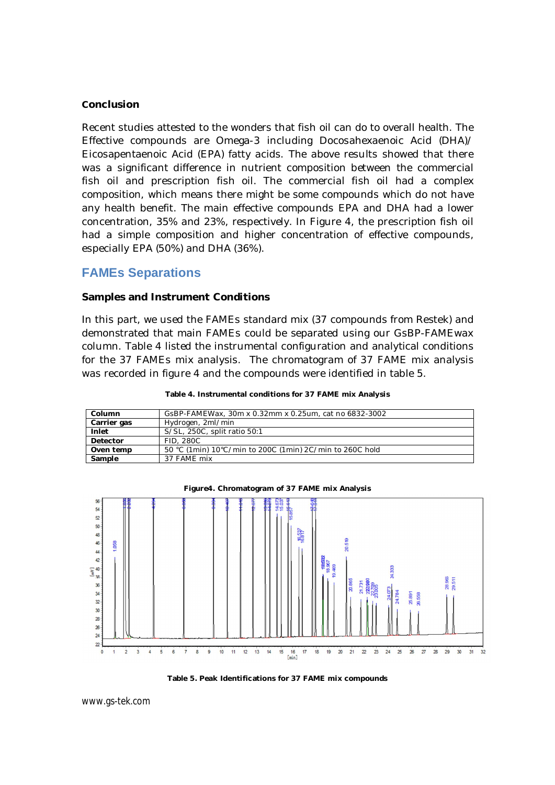#### **Conclusion**

Recent studies attested to the wonders that fish oil can do to overall health. The Effective compounds are Omega-3 including Docosahexaenoic Acid (DHA)/ Eicosapentaenoic Acid (EPA) fatty acids. The above results showed that there was a significant difference in nutrient composition between the commercial fish oil and prescription fish oil. The commercial fish oil had a complex composition, which means there might be some compounds which do not have any health benefit. The main effective compounds EPA and DHA had a lower concentration, 35% and 23%, respectively. In Figure 4, the prescription fish oil had a simple composition and higher concentration of effective compounds, especially EPA (50%) and DHA (36%).

## **FAMEs Separations**

#### **Samples and Instrument Conditions**

In this part, we used the FAMEs standard mix (37 compounds from Restek) and demonstrated that main FAMEs could be separated using our GsBP-FAMEwax column. Table 4 listed the instrumental configuration and analytical conditions for the 37 FAMEs mix analysis. The chromatogram of 37 FAME mix analysis was recorded in figure 4 and the compounds were identified in table 5.

| Column      | GSBP-FAMEWax, 30m x 0.32mm x 0.25um, cat no 6832-3002    |
|-------------|----------------------------------------------------------|
| Carrier gas | Hydrogen, 2ml/min                                        |
| Inlet       | S/SL, 250C, split ratio 50:1                             |
| Detector    | FID. 280C                                                |
| Oven temp   | 50 °C (1min) 10°C/min to 200C (1min) 2C/min to 260C hold |
| Sample      | 37 FAME mix                                              |





**Table 5. Peak Identifications for 37 FAME mix compounds**